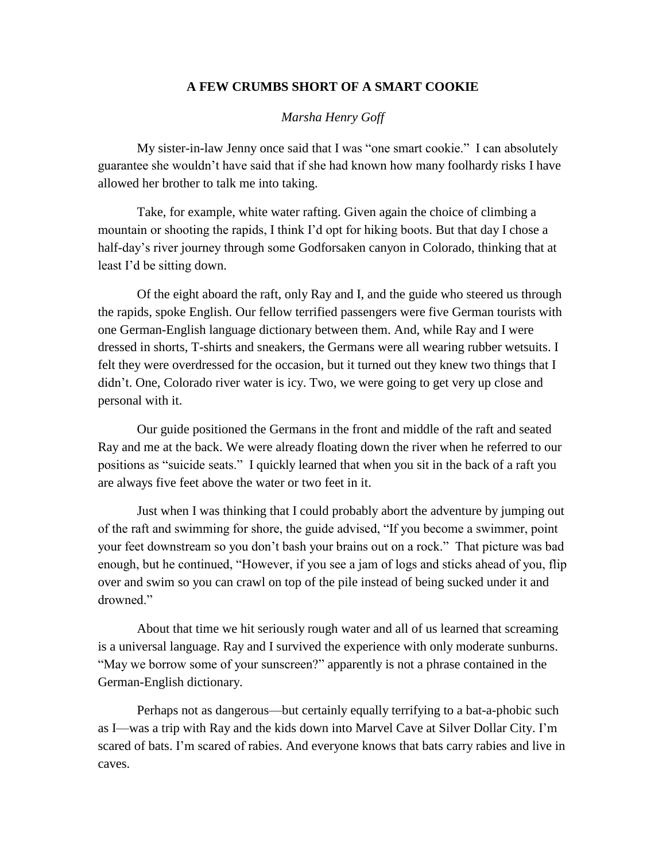## **A FEW CRUMBS SHORT OF A SMART COOKIE**

## *Marsha Henry Goff*

My sister-in-law Jenny once said that I was "one smart cookie." I can absolutely guarantee she wouldn't have said that if she had known how many foolhardy risks I have allowed her brother to talk me into taking.

Take, for example, white water rafting. Given again the choice of climbing a mountain or shooting the rapids, I think I'd opt for hiking boots. But that day I chose a half-day's river journey through some Godforsaken canyon in Colorado, thinking that at least I'd be sitting down.

Of the eight aboard the raft, only Ray and I, and the guide who steered us through the rapids, spoke English. Our fellow terrified passengers were five German tourists with one German-English language dictionary between them. And, while Ray and I were dressed in shorts, T-shirts and sneakers, the Germans were all wearing rubber wetsuits. I felt they were overdressed for the occasion, but it turned out they knew two things that I didn't. One, Colorado river water is icy. Two, we were going to get very up close and personal with it.

Our guide positioned the Germans in the front and middle of the raft and seated Ray and me at the back. We were already floating down the river when he referred to our positions as "suicide seats." I quickly learned that when you sit in the back of a raft you are always five feet above the water or two feet in it.

Just when I was thinking that I could probably abort the adventure by jumping out of the raft and swimming for shore, the guide advised, "If you become a swimmer, point your feet downstream so you don't bash your brains out on a rock." That picture was bad enough, but he continued, "However, if you see a jam of logs and sticks ahead of you, flip over and swim so you can crawl on top of the pile instead of being sucked under it and drowned."

About that time we hit seriously rough water and all of us learned that screaming is a universal language. Ray and I survived the experience with only moderate sunburns. "May we borrow some of your sunscreen?" apparently is not a phrase contained in the German-English dictionary.

Perhaps not as dangerous—but certainly equally terrifying to a bat-a-phobic such as I—was a trip with Ray and the kids down into Marvel Cave at Silver Dollar City. I'm scared of bats. I'm scared of rabies. And everyone knows that bats carry rabies and live in caves.